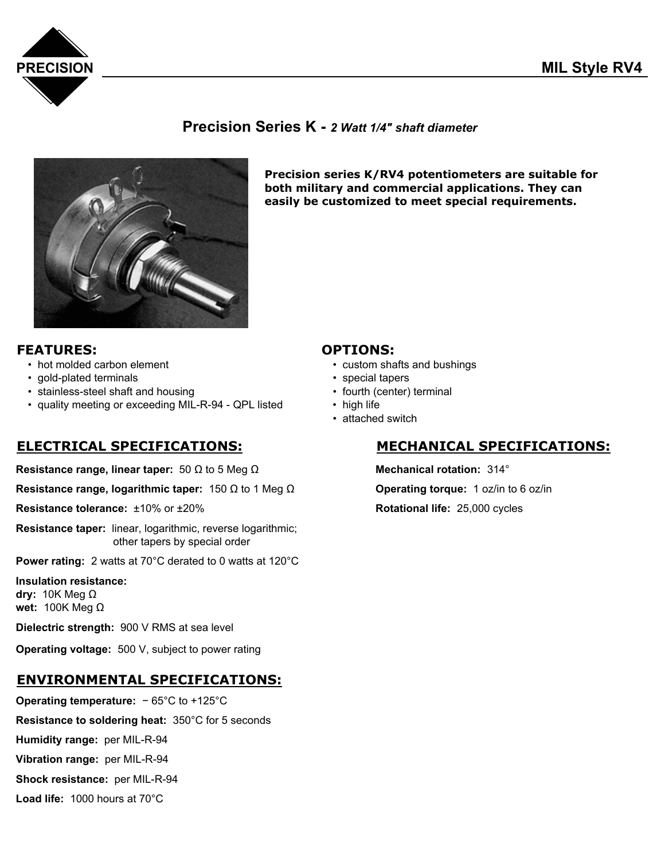

### **Precision Series K -** *2 Watt 1/4" shaft diameter*



**Precision series K/RV4 potentiometers are suitable for both military and commercial applications. They can easily be customized to meet special requirements.**

- **FEATURES:**<br>
hot molded carbon element<br>
custom sha
	- gold-plated terminals special tapers
	- stainless-steel shaft and housing **•** fourth (center) terminal
	- quality meeting or exceeding MIL-R-94 QPL listed high life

**Resistance range, linear taper:** 50 Ω to 5 Meg Ω **Mechanical rotation:** 314°

**Resistance range, logarithmic taper:** 150 Ω to 1 Meg Ω **Operating torque:** 1 oz/in to 6 oz/in

**Resistance tolerance:**  $\pm 10\%$  or  $\pm 20\%$  **Rotational life:** 25,000 cycles

**Resistance taper:** linear, logarithmic, reverse logarithmic; other tapers by special order

**Power rating:** 2 watts at 70°C derated to 0 watts at 120°C

**Insulation resistance: dry:** 10K Meg Ω **wet:** 100K Meg Ω

**Dielectric strength:** 900 V RMS at sea level

**Operating voltage:** 500 V, subject to power rating

### **ENVIRONMENTAL SPECIFICATIONS:**

**Operating temperature:** − 65°C to +125°C **Resistance to soldering heat:** 350°C for 5 seconds **Humidity range:** per MIL-R-94 **Vibration range:** per MIL-R-94 **Shock resistance:** per MIL-R-94

**Load life:** 1000 hours at 70°C

- custom shafts and bushings
- 
- 
- 
- attached switch

### **ELECTRICAL SPECIFICATIONS: MECHANICAL SPECIFICATIONS:**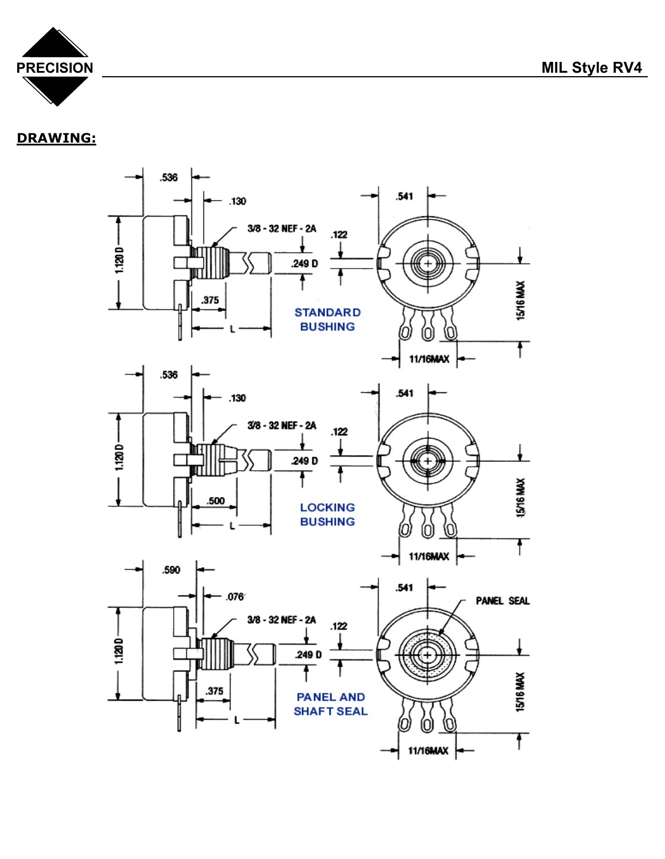

## **DRAWING:**